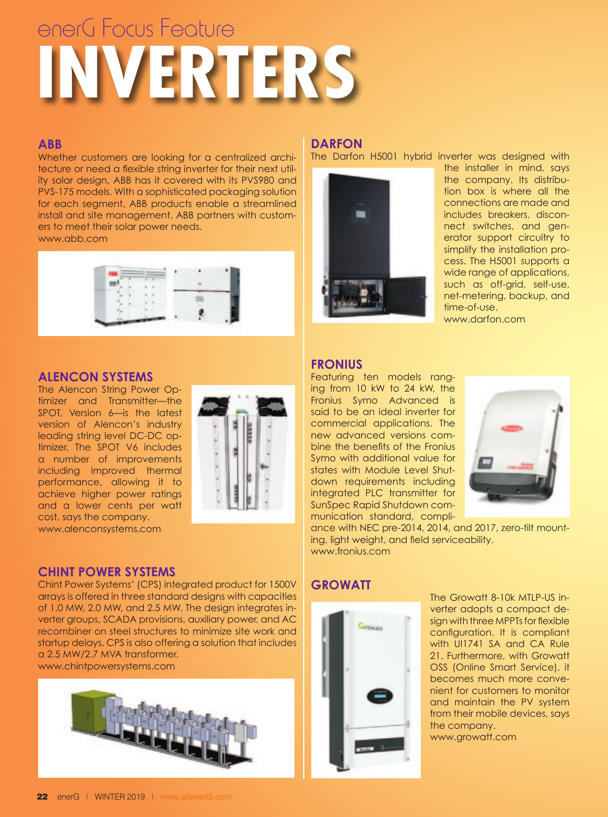# **INVERTERS** enerG Focus Feature

#### **ABB**

Whether customers are looking for a centralized architecture or need a flexible string inverter for their next utility solar design, ABB has it covered with its PVS980 and PVS-175 models. With a sophisticated packaging solution for each segment, ABB products enable a streamlined install and site management. ABB partners with customers to meet their solar power needs.

www.abb.com



#### **ALENCON SYSTEMS**

The Alencon String Power Optimizer and Transmitter—the SPOT, Version 6—is the latest version of Alencon's industry leading string level DC-DC optimizer. The SPOT V6 includes a number of improvements including improved thermal performance, allowing it to achieve higher power ratings and a lower cents per watt cost, says the company. www.alenconsystems.com



## **CHINT POWER SYSTEMS**

Chint Power Systems' (CPS) integrated product for 1500V arrays is offered in three standard designs with capacities of 1.0 MW, 2.0 MW, and 2.5 MW. The design integrates inverter groups, SCADA provisions, auxiliary power, and AC recombiner on steel structures to minimize site work and startup delays. CPS is also offering a solution that includes a 2.5 MW/2.7 MVA transformer. www.chintpowersystems.com



### **DARFON**

The Darfon H5001 hybrid inverter was designed with



the installer in mind, says the company. Its distribution box is where all the connections are made and includes breakers, disconnect switches, and generator support circuitry to simplify the installation process. The H5001 supports a wide range of applications, such as off-grid, self-use, net-metering, backup, and time-of-use. www.darfon.com

#### **FRONIUS**

Featuring ten models ranging from 10 kW to 24 kW, the Fronius Symo Advanced is said to be an ideal inverter for commercial applications. The new advanced versions combine the benefits of the Fronius Symo with additional value for states with Module Level Shutdown requirements including integrated PLC transmitter for SunSpec Rapid Shutdown communication standard, compli-



ance with NEC pre-2014, 2014, and 2017, zero-tilt mounting, light weight, and field serviceability. www.fronius.com

# **GROWATT**



The Growatt 8-10k MTLP-US inverter adopts a compact design with three MPPTs for flexible configuration. It is compliant with UI1741 SA and CA Rule 21. Furthermore, with Growatt OSS (Online Smart Service), it becomes much more convenient for customers to monitor and maintain the PV system from their mobile devices, says the company. www.growatt.com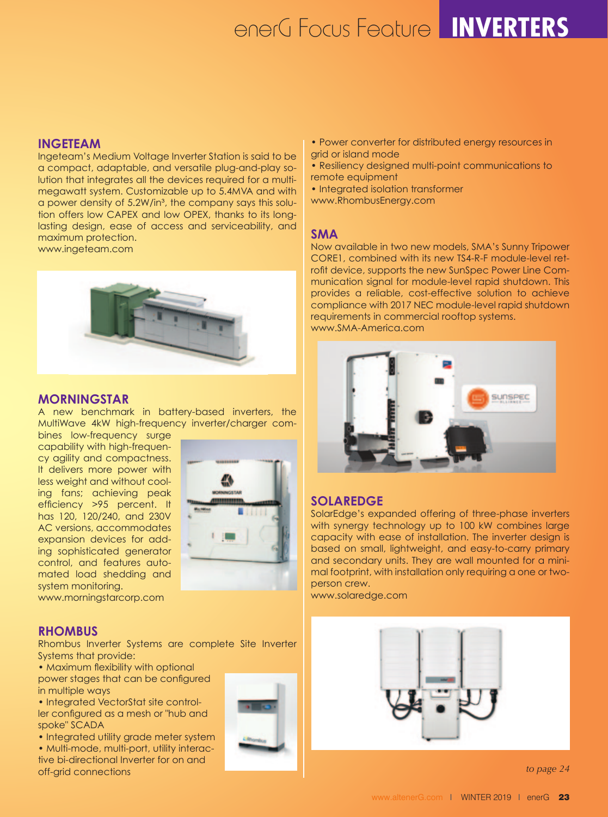# enerG Focus Feature **INVERTERS**

#### **INGETEAM**

Ingeteam's Medium Voltage Inverter Station is said to be a compact, adaptable, and versatile plug-and-play solution that integrates all the devices required for a multimegawatt system. Customizable up to 5.4MVA and with a power density of 5.2W/in<sup>3</sup>, the company says this solution offers low CAPEX and low OPEX, thanks to its longlasting design, ease of access and serviceability, and maximum protection.

www.ingeteam.com



#### **MORNINGSTAR**

A new benchmark in battery-based inverters, the MultiWave 4kW high-frequency inverter/charger com-

bines low-frequency surge capability with high-frequency agility and compactness. It delivers more power with less weight and without cooling fans; achieving peak efficiency >95 percent. It has 120, 120/240, and 230V AC versions, accommodates expansion devices for adding sophisticated generator control, and features automated load shedding and system monitoring.



www.morningstarcorp.com

#### **RHOMBUS**

Rhombus Inverter Systems are complete Site Inverter Systems that provide:

- Maximum flexibility with optional power stages that can be configured in multiple ways
- Integrated VectorStat site controller configured as a mesh or "hub and spoke" SCADA

• Integrated utility grade meter system • Multi-mode, multi-port, utility interactive bi-directional Inverter for on and off-grid connections



- Power converter for distributed energy resources in grid or island mode
- Resiliency designed multi-point communications to remote equipment
- Integrated isolation transformer
- www.RhombusEnergy.com

#### **SMA**

Now available in two new models, SMA's Sunny Tripower CORE1, combined with its new TS4-R-F module-level retrofit device, supports the new SunSpec Power Line Communication signal for module-level rapid shutdown. This provides a reliable, cost-effective solution to achieve compliance with 2017 NEC module-level rapid shutdown requirements in commercial rooftop systems. www.SMA-America.com



#### **SOLAREDGE**

SolarEdge's expanded offering of three-phase inverters with synergy technology up to 100 kW combines large capacity with ease of installation. The inverter design is based on small, lightweight, and easy-to-carry primary and secondary units. They are wall mounted for a minimal footprint, with installation only requiring a one or twoperson crew.

www.solaredge.com



*to page 24*